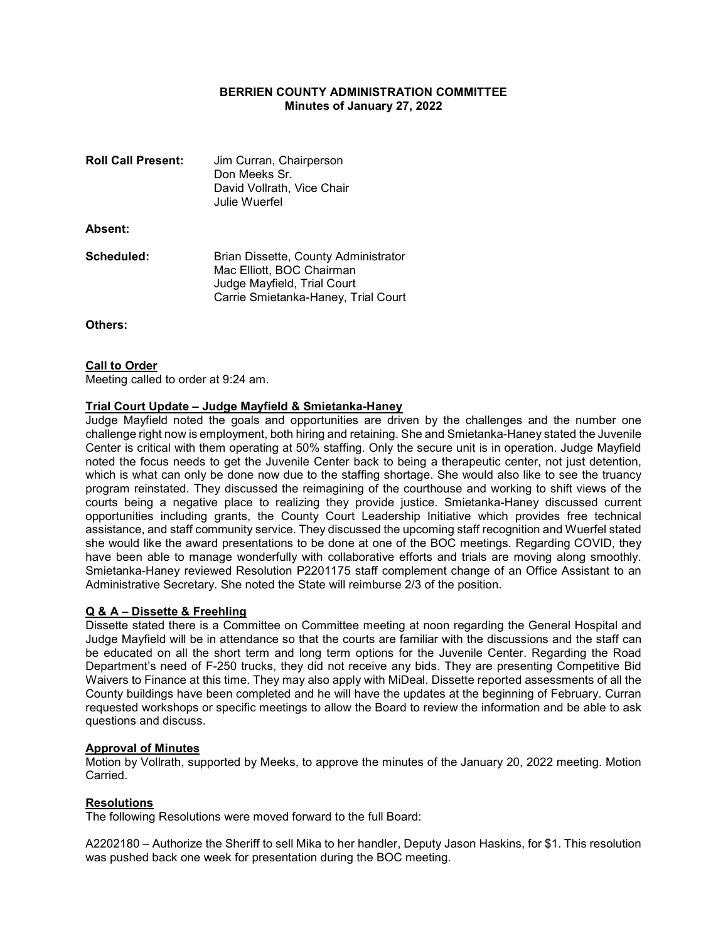## BERRIEN COUNTY ADMINISTRATION COMMITTEE Minutes of January 27, 2022

| <b>Roll Call Present:</b> | Jim Curran, Chairperson<br>Don Meeks Sr.<br>David Vollrath, Vice Chair<br>Julie Wuerfel                                                 |
|---------------------------|-----------------------------------------------------------------------------------------------------------------------------------------|
| Absent:                   |                                                                                                                                         |
| Scheduled:                | Brian Dissette, County Administrator<br>Mac Elliott, BOC Chairman<br>Judge Mayfield, Trial Court<br>Carrie Smietanka-Haney, Trial Court |

Others:

### **Call to Order**

Meeting called to order at 9:24 am.

#### Trial Court Update – Judge Mayfield & Smietanka-Haney

Judge Mayfield noted the goals and opportunities are driven by the challenges and the number one challenge right now is employment, both hiring and retaining. She and Smietanka-Haney stated the Juvenile Center is critical with them operating at 50% staffing. Only the secure unit is in operation. Judge Mayfield noted the focus needs to get the Juvenile Center back to being a therapeutic center, not just detention, which is what can only be done now due to the staffing shortage. She would also like to see the truancy program reinstated. They discussed the reimagining of the courthouse and working to shift views of the courts being a negative place to realizing they provide justice. Smietanka-Haney discussed current opportunities including grants, the County Court Leadership Initiative which provides free technical assistance, and staff community service. They discussed the upcoming staff recognition and Wuerfel stated she would like the award presentations to be done at one of the BOC meetings. Regarding COVID, they have been able to manage wonderfully with collaborative efforts and trials are moving along smoothly. Smietanka-Haney reviewed Resolution P2201175 staff complement change of an Office Assistant to an Administrative Secretary. She noted the State will reimburse 2/3 of the position.

### Q & A – Dissette & Freehling

Dissette stated there is a Committee on Committee meeting at noon regarding the General Hospital and Judge Mayfield will be in attendance so that the courts are familiar with the discussions and the staff can be educated on all the short term and long term options for the Juvenile Center. Regarding the Road Department's need of F-250 trucks, they did not receive any bids. They are presenting Competitive Bid Waivers to Finance at this time. They may also apply with MiDeal. Dissette reported assessments of all the County buildings have been completed and he will have the updates at the beginning of February. Curran requested workshops or specific meetings to allow the Board to review the information and be able to ask questions and discuss.

#### Approval of Minutes

Motion by Vollrath, supported by Meeks, to approve the minutes of the January 20, 2022 meeting. Motion Carried.

### Resolutions

The following Resolutions were moved forward to the full Board:

A2202180 – Authorize the Sheriff to sell Mika to her handler, Deputy Jason Haskins, for \$1. This resolution was pushed back one week for presentation during the BOC meeting.